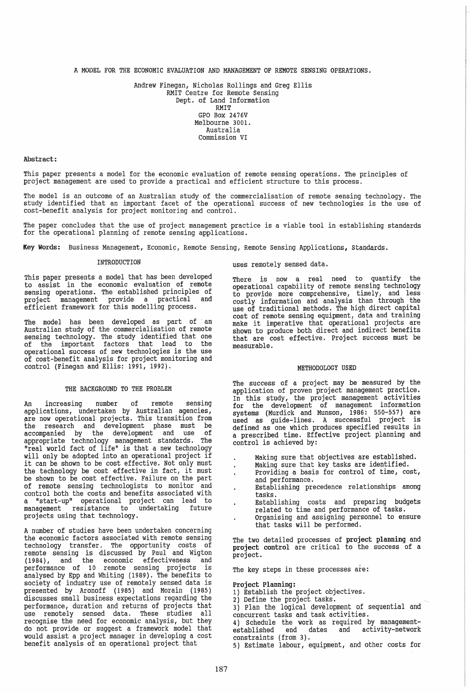A MODEL FOR THE ECONOMIC EVALUATION AND MANAGEMENT OF REMOTE SENSING OPERATIONS.

Andrew Finegan, Nicholas Rollings and Greg Ellis RMIT Centre for Remote Sensing Dept. of Land Information RMIT GPO Box 2476V Melbourne 3001. Australia Commission VI

### Abstract:

This paper presents a model for the economic evaluation of remote sensing operations. The principles of project management are used to provide a practical and efficient structure to this process.

The model is an outcome of an Australian study of the commercialisation of remote sensing technology. The study identified that an important facet of the operational success of new technologies is the use of cost-benefit analysis for project monitoring and control.

The paper concludes that the use of project management practice is a viable tool in establishing standards for the operational planning of remote sensing applications.

Key Words: Business Management, Economic, Remote Sensing, Remote Sensing Applications, Standards.

# INTRODUCTION

This paper presents a model that has been developed to assist in the economic evaluation of remote sensing operations. The established principles of project management provide a practical and efficient framework for this modelling process.

The model has been developed as part of an Australian study of the commercialisation of remote sensing technology. The study identified that one of the important factors that lead to the operational success of new technologies is the use of cost-benefit analysis for project monitoring and control (Finegan and Ellis: 1991, 1992).

# THE BACKGROUND TO THE PROBLEM

An increasing number of remote sensing applications, undertaken by Australian agencies, are now operational projects. This transition from the research and development phase must be. accompanied by the development and use of appropriate technology management standards. The "real world fact of life" is that a new technology will only be adopted into an operational project if will only be adopted into an operational project if the technology be cost effective in fact, it must be shown to be cost effective. Failure on the part of remote sensing technologists to monitor and control both the costs and benefits associated with a "start-up" operational project can lead to management resistance to undertaking future projects using that technology.

A number of studies have been undertaken concerning the economic factors associated with remote sensing technology transfer. The opportunity costs of remote sensing is discussed by Paul and Wigton (1984), and the economic effectiveness and performance of 10 remote sensing projects is analysed by Epp and whiting (1989). The benefits to society of industry use of remotely sensed data is presented by Aronoff (1985) and Morain (1985) discusses small business expectations regarding the performance, duration and returns of projects that use remotely sensed data. These studies all recognise the need for economic analysis, but they do not provide or suggest a framework model that would assist a project manager in developing a cost benefit analysis of an operational project that

uses remotely sensed data.

There is now a real need to quantify the operational capability of remote sensing technology to provide more comprehensive, timely, and less costly information and analysis than through the use of traditional methods. The high direct capital cost of remote sensing equipment, data and training make it imperative that operational projects are shown to produce both direct and indirect benefits that are cost effective. Project success must be measurable.

## METHODOLOGY USED

The success of a project may be measured by the application of proven project management practice. In this study, the project management activities for the development of management information systems (Murdick and Munson, 1986: 550-557) are used as guide-lines. A successful project is defined as one which produces specified results in a prescribed time. Effective project planning and control is achieved by:

- Making sure that objectives are established.
- Making sure that key tasks are identified.  $\ddot{\phantom{a}}$
- Providing a basis for control of time, cost, and performance.
- Establishing precedence relationships among tasks.
- Establishing costs and preparing budgets related to time and performance of tasks.
- Organising and assigning personnel to ensure that tasks will be performed.

The two detailed processes of project planning and project control are critical to the success of a project.

The key steps in these processes are:

- Project Planning: 1) Establish the project objectives.
- 2) Define the project tasks.

3) Plan the logical development of sequential and concurrent tasks and task activities.

4) Schedule the work as required by management-<br>established end dates and activity-network established end constraints (from 3).

5) Estimate labour, equipment, and other costs for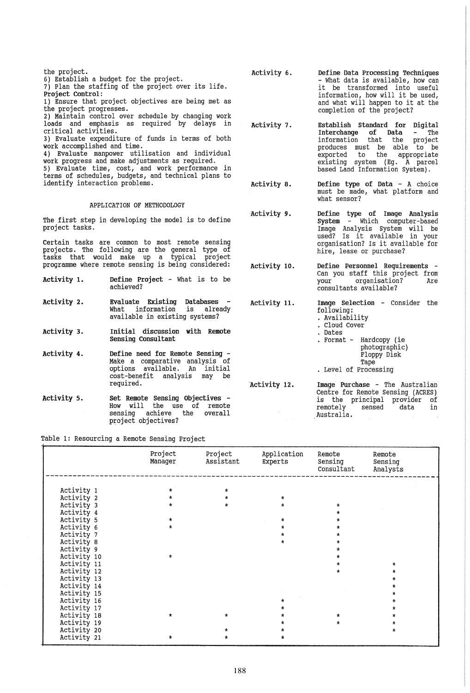| the project.<br>6) Establish a budget for the project.<br>7) Plan the staffing of the project over its life.<br>Project Control:<br>1) Ensure that project objectives are being met as<br>the project progresses.<br>2) Maintain control over schedule by changing work<br>loads and emphasis as required by delays in<br>critical activities.<br>3) Evaluate expenditure of funds in terms of both<br>work accomplished and time.<br>4) Evaluate manpower utilisation and individual<br>work progress and make adjustments as required.<br>5) Evaluate time, cost, and work performance in<br>terms of schedules, budgets, and technical plans to |                                                                                                                                           | Activity 6.  | Define Data Processing Techniques<br>- What data is available, how can<br>it be transformed into useful<br>information, how will it be used,<br>and what will happen to it at the<br>completion of the project?                               |  |  |  |  |
|----------------------------------------------------------------------------------------------------------------------------------------------------------------------------------------------------------------------------------------------------------------------------------------------------------------------------------------------------------------------------------------------------------------------------------------------------------------------------------------------------------------------------------------------------------------------------------------------------------------------------------------------------|-------------------------------------------------------------------------------------------------------------------------------------------|--------------|-----------------------------------------------------------------------------------------------------------------------------------------------------------------------------------------------------------------------------------------------|--|--|--|--|
|                                                                                                                                                                                                                                                                                                                                                                                                                                                                                                                                                                                                                                                    |                                                                                                                                           | Activity 7.  | Establish Standard for Digital<br>Interchange<br>of Data<br>The<br>information that the<br>project<br>produces must be able to be<br>the<br>exported<br>to<br>appropriate<br>existing system (Eq. A parcel<br>based Land Information System). |  |  |  |  |
| identify interaction problems.                                                                                                                                                                                                                                                                                                                                                                                                                                                                                                                                                                                                                     |                                                                                                                                           | Activity 8.  | Define type of Data $-$ A choice<br>must be made, what platform and<br>what sensor?                                                                                                                                                           |  |  |  |  |
| APPLICATION OF METHODOLOGY                                                                                                                                                                                                                                                                                                                                                                                                                                                                                                                                                                                                                         |                                                                                                                                           |              |                                                                                                                                                                                                                                               |  |  |  |  |
| project tasks.                                                                                                                                                                                                                                                                                                                                                                                                                                                                                                                                                                                                                                     | The first step in developing the model is to define                                                                                       | Activity 9.  | Define type of Image Analysis<br>System - Which computer-based<br>Image Analysis System will be<br>used? Is it available in your                                                                                                              |  |  |  |  |
| Certain tasks are common to most remote sensing<br>projects. The following are the general type of<br>tasks that would make up a typical project                                                                                                                                                                                                                                                                                                                                                                                                                                                                                                   |                                                                                                                                           |              | organisation? Is it available for<br>hire, lease or purchase?                                                                                                                                                                                 |  |  |  |  |
|                                                                                                                                                                                                                                                                                                                                                                                                                                                                                                                                                                                                                                                    | programme where remote sensing is being considered:                                                                                       | Activity 10. | Define Personnel Requirements -                                                                                                                                                                                                               |  |  |  |  |
| Activity 1.                                                                                                                                                                                                                                                                                                                                                                                                                                                                                                                                                                                                                                        | Define Project - What is to be<br>achieved?                                                                                               |              | Can you staff this project from<br>organisation?<br>your<br>Are<br>consultants available?                                                                                                                                                     |  |  |  |  |
| Activity 2.                                                                                                                                                                                                                                                                                                                                                                                                                                                                                                                                                                                                                                        | Evaluate Existing Databases<br>$\sim$ $-$<br>What information<br>is<br>already<br>available in existing systems?                          | Activity 11. | Image Selection - Consider the<br>following:<br>. Availability<br>. Cloud Cover                                                                                                                                                               |  |  |  |  |
| Activity 3.                                                                                                                                                                                                                                                                                                                                                                                                                                                                                                                                                                                                                                        | Initial discussion with Remote<br>Sensing Consultant                                                                                      |              | . Dates<br>. Format - Hardcopy (ie<br>photographic)                                                                                                                                                                                           |  |  |  |  |
| Activity 4.                                                                                                                                                                                                                                                                                                                                                                                                                                                                                                                                                                                                                                        | Define need for Remote Sensing -<br>Make a comparative analysis of<br>options available. An initial<br>cost-benefit analysis<br>may<br>be |              | Floppy Disk<br>Tape<br>. Level of Processing                                                                                                                                                                                                  |  |  |  |  |
|                                                                                                                                                                                                                                                                                                                                                                                                                                                                                                                                                                                                                                                    | required.                                                                                                                                 | Activity 12. | Image Purchase - The Australian                                                                                                                                                                                                               |  |  |  |  |
|                                                                                                                                                                                                                                                                                                                                                                                                                                                                                                                                                                                                                                                    |                                                                                                                                           |              | Centre for Remote Sensing (ACRES)                                                                                                                                                                                                             |  |  |  |  |
| Activity 5.                                                                                                                                                                                                                                                                                                                                                                                                                                                                                                                                                                                                                                        | Set Remote Sensing Objectives -                                                                                                           |              | is the principal provider<br>of                                                                                                                                                                                                               |  |  |  |  |
|                                                                                                                                                                                                                                                                                                                                                                                                                                                                                                                                                                                                                                                    | How will the use of remote<br>achieve<br>overall<br>sensing<br>the<br>project objectives?                                                 |              | sensed<br>remotely<br>data<br>in<br>Australia.                                                                                                                                                                                                |  |  |  |  |

Table 1: Resourcing a Remote Sensing Project

|             | Project<br>Manager | Project<br>Assistant | Application<br>Experts | Remote<br>Sensing<br>Consultant | Remote<br>Sensing<br>Analysts |
|-------------|--------------------|----------------------|------------------------|---------------------------------|-------------------------------|
|             |                    |                      |                        |                                 |                               |
| Activity 1  | ÷                  | $\star$              |                        |                                 |                               |
| Activity 2  |                    |                      | $\star$                |                                 |                               |
| Activity 3  |                    |                      | $\star$                |                                 |                               |
| Activity 4  |                    |                      |                        |                                 |                               |
| Activity 5  | $\star$            |                      | $\ast$                 |                                 |                               |
| Activity 6  | $\star$            |                      | ÷                      |                                 |                               |
| Activity 7  |                    |                      |                        |                                 |                               |
| Activity 8  |                    |                      |                        |                                 |                               |
| Activity 9  |                    |                      |                        |                                 |                               |
| Activity 10 | $\ast$             |                      |                        |                                 |                               |
| Activity 11 |                    |                      |                        |                                 |                               |
| Activity 12 |                    |                      |                        |                                 |                               |
| Activity 13 |                    |                      |                        |                                 |                               |
| Activity 14 |                    |                      |                        |                                 |                               |
| Activity 15 |                    |                      |                        |                                 |                               |
| Activity 16 |                    |                      |                        |                                 |                               |
| Activity 17 |                    |                      |                        |                                 | ÷                             |
| Activity 18 |                    |                      |                        |                                 | ÷                             |
| Activity 19 |                    |                      |                        |                                 | $\star$                       |
| Activity 20 |                    |                      |                        |                                 | $\star$                       |
| Activity 21 | *                  |                      |                        |                                 |                               |